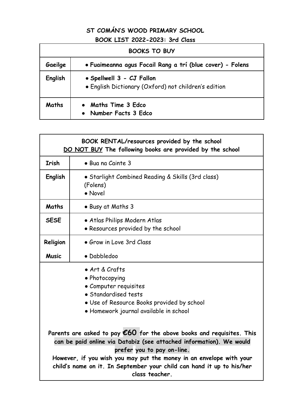## **ST COMÁN'S WOOD PRIMARY SCHOOL BOOK LIST 2022-2023: 3rd Class**

| <b>BOOKS TO BUY</b> |                                                                                   |  |
|---------------------|-----------------------------------------------------------------------------------|--|
| Gaeilge             | · Fuaimeanna agus Focail Rang a trí (blue cover) - Folens                         |  |
| English             | • Spellwell 3 - CJ Fallon<br>• English Dictionary (Oxford) not children's edition |  |
| Maths               | <b>Maths Time 3 Edco</b><br>Number Facts 3 Edco                                   |  |

| BOOK RENTAL/resources provided by the school<br>DO NOT BUY The following books are provided by the school                                                                                                                                                                                                                                              |                                                                          |  |
|--------------------------------------------------------------------------------------------------------------------------------------------------------------------------------------------------------------------------------------------------------------------------------------------------------------------------------------------------------|--------------------------------------------------------------------------|--|
| <b>Irish</b>                                                                                                                                                                                                                                                                                                                                           | · Bua na Cainte 3                                                        |  |
| English                                                                                                                                                                                                                                                                                                                                                | • Starlight Combined Reading & Skills (3rd class)<br>(Folens)<br>• Novel |  |
| Maths                                                                                                                                                                                                                                                                                                                                                  | • Busy at Maths 3                                                        |  |
| <b>SESE</b>                                                                                                                                                                                                                                                                                                                                            | · Atlas Philips Modern Atlas<br>· Resources provided by the school       |  |
| Religion                                                                                                                                                                                                                                                                                                                                               | • Grow in Love 3rd Class                                                 |  |
| <b>Music</b>                                                                                                                                                                                                                                                                                                                                           | · Dabbledoo                                                              |  |
| • Art & Crafts<br>• Photocopying<br>• Computer requisites<br>• Standardised tests<br>. Use of Resource Books provided by school<br>• Homework journal available in school                                                                                                                                                                              |                                                                          |  |
| Parents are asked to pay $\epsilon$ 60 for the above books and requisites. This<br>can be paid online via Databiz (see attached information). We would<br>prefer you to pay on-line.<br>However, if you wish you may put the money in an envelope with your<br>child's name on it. In September your child can hand it up to his/her<br>class teacher. |                                                                          |  |